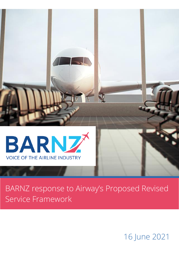

# BARNZ response to Airway's Proposed Revised Service Framework

16 June 2021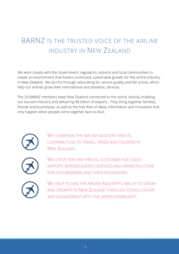## BARNZ IS THE TRUSTED VOICE OF THE AIRLINE INDUSTRY IN NEW ZEALAND

We work closely with the Government, regulators, airports and local communities to create an environment that fosters continued, sustainable growth for the airline industry in New Zealand. We do this through advocating for service quality and fair prices, which help our airlines grow their international and domestic services.

The 29 BARNZ members keep New Zealand connected to the world, directly enabling our tourism industry and delivering \$8 billion of exports. They bring together families, friends and businesses, as well as the free flow of ideas, information and innovation that only happen when people come together face-to-face.

![](_page_1_Picture_3.jpeg)

WE CHAMPION THE AIRLINE INDUSTRY AND ITS CONTRIBUTION TO TRAVEL, TRADE AND TOURISM IN NEW ZEALAND.

![](_page_1_Picture_5.jpeg)

WE STRIVE FOR FAIR-PRICED, CUSTOMER-FOCUSSED AIRPORT, BORDER AGENCY SERVICES AND INFRASTRUCTURE FOR OUR MEMBERS AND THEIR PASSENGERS.

![](_page_1_Picture_7.jpeg)

WE HELP TO WIN THE AIRLINE INDUSTRY'S ABILITY TO GROW AND OPERATE IN NEW ZEALAND THROUGH CONSULTATION AND ENGAGEMENT WITH THE WIDER COMMUNITY.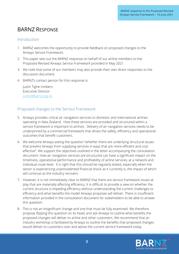### BARNZ RESPONSE

#### Introduction

- 1. BARNZ welcomes the opportunity to provide feedback on proposed changes to the Airways Service Framework.
- 2. This paper sets out the BARNZ response on behalf of our airline members to the Proposed Revised Airways Service Framework provided in May 2021.
- 3. We note that some of our members may also provide their own direct responses to the discussion document.
- 4. BARNZ's contact person for this response is:

Justin Tighe-Umbers Executive Director [justin@barnz.org.nz](file:///C:/Users/Libby/Dropbox/BARNZ%20Project/Collateral%20development/Factsheets/justin@barnz.org.nz)

#### Proposed changes to the Service Framework

- 5. Airways provides critical air navigation services to domestic and international airlines operating in New Zealand. How these services are provided and structured within a service framework is important to airlines. Delivery of air navigation services needs to be underpinned by a commercial framework that drives the safety, efficiency and operational outcomes that benefit customers.
- 6. We welcome Airways asking the question "whether there are underlying structural issues that prevent Airways from supplying services in ways that are more efficient and costeffective". We support the objectives outlined in the letter accompanying the consultation document. How air navigation services are structured can have a significant impact on the timeliness, operational performance and profitability of airline services, at a network and individual route level. It is right that this should be regularly tested, especially when the sector is experiencing unprecedented financial shock as it currently is, the impact of which will continue as the industry recovers.
- 7. However, it is not immediately clear to BARNZ that there are service framework issues at play that are materially affecting efficiency. It is difficult to provide a view on whether the current structure is impeding efficiency without understanding the current challenges to efficiency and what benefits the model Airways proposes will deliver. There is insufficient information provided in the consultation document for stakeholders to be able to answer this question.
- 8. This is not an insignificant change and one that must be fully examined. We therefore propose flipping this question on its head, and ask Airways to outline what benefits the proposed changes will deliver to airline and other customers. We recommend that an industry workshop is facilitated by Airways to outline the benefits that proposed changes would deliver to customers over and above the current service framework today.

![](_page_2_Picture_13.jpeg)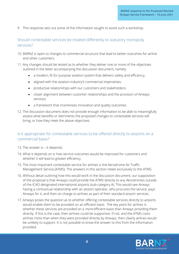9. This response sets out some of the information sought to assist such a workshop.

#### Should contestable services be treated differently to statutory monopoly services?

- 10. BARNZ is open to changes to commercial structure that lead to better outcomes for airline and other customers.
- 11. Any changes should be tested as to whether they deliver one or more of the objectives outlined in the letter accompanying the discussion document, namely:
	- a modern, fit for purpose aviation system that delivers safety and efficiency;
	- aligned with the aviation industry's commercial imperatives;
	- productive relationships with our customers and stakeholders;
	- closer alignment between customer relationships and the provision of Airways services;
	- a framework that incentivises innovation and quality outcomes.
- 12. The discussion document does not provide enough information to be able to meaningfully assess what benefits or detriments the proposed changes to contestable services will bring, or how they meet the above objectives.

#### Is it appropriate for contestable services to be offered directly to airports on a commercial basis?

- 13. The answer is it depends.
- 14. What it depends on is how service outcomes would be improved for customers and whether it will lead to greater efficiency.
- 15. The most important contestable service for airlines is the Aerodrome Air Traffic Management Service (ATMS). The answers in this section relate exclusively to the ATMS.
- 16. Without detail outlining how this would work in the discussion document, our supposition of the proposal is that Airways could provide the ATMS directly to any Aerodromes outside of the ICAO designated international airports (sub-category A). This would see Airways having a contractual relationship with an airport operator, who procures the service, pays Airways for it, and then on charge to airlines as part of their standard airport services.
- 17. Airways poses the question as to whether offering contestable services directly to airports would enable them to be provided on an efficient basis. The key point for airlines is whether these services are provided on a *more* efficient basis than Airways providing them directly. If this is the case, then airlines could be supportive. If not, and the ATMS costs airlines more than when they were provided directly by Airways, then clearly airlines would be unlikely to support. It is not possible to know the answer to this from the information provided.

![](_page_3_Picture_17.jpeg)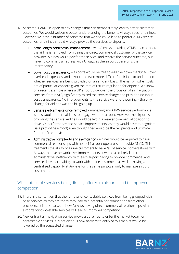- 18. As stated, BARNZ is open to any changes that can demonstrably lead to better customer outcomes. We would welcome better understanding the benefits Airways sees for airlines. However, we have a number of concerns that we see could lead to poorer ATMS service outcomes for airlines should Airways provide the services to airports.
	- Arms-length contractual management with Airways providing ATMS to an airport, the airline is removed from being the direct commercial customer of the service provider. Airlines would pay for the service, and receive the service outcome, but have no commercial redress with Airways as the airport operator is the intermediary.
	- Lower cost transparency airports would be free to add their own margin to cover overhead expenses, and it would be even more difficult for airlines to understand whether services are being provided on an efficient basis. The risk of higher costs are of particular concern given the rate of return regulation for airports. We know of a recent example where a UK airport took over the provision of air navigation services from NATS, significantly raised the service charge and provided no input cost transparency. No improvements to the service were forthcoming – the only change for airlines was the bill going up.
	- Service performance once removed managing any ATMS service performance issues would require airlines to engage with the airport. However the airport is not providing the service. Airlines would be left in a weaker commercial position to drive KPI performance and service improvements, as they would have to negotiate via a proxy (the airport) even though they would be the recipients and ultimate funder of the service.
	- Administrative complexity and inefficiency airlines would be required to have commercial relationships with up to 14 airport operators to provide ATMS. This fragments the ability of airline customers to have "all of service" conversations with Airways to drive network level improvements. It would also likely lead to administrative inefficiency, with each airport having to provide commercial and service delivery capability to work with airline customers, as well as having a centralised capability at Airways for the same purpose, only to manage airport customers.

#### Will contestable services being directly offered to airports lead to improved competition?

- 19. There is a contention that the removal of contestable services from being grouped with base services as they are today may lead to a potential for competition from other providers. It is unclear as to how Airways having direct commercial relationships with airports for contestable services will lead to improved competition.
- 20. New entrant air navigation service providers are free to enter the market today for contestable services. It is not obvious how barriers to entry of this market would be lowered by the suggested change.

![](_page_4_Picture_9.jpeg)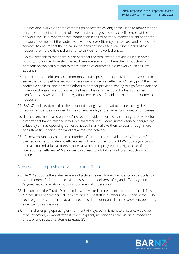- 21. Airlines and BARNZ welcome competition of services as long as they lead to more efficient outcomes for airlines in terms of lower service charges and service efficiencies at the network level. It is important that competition leads to better outcomes for airlines at the network level, not just the route level. Airlines seek efficiency across base and contestable services, to ensure that their total spend does not increase even if some parts of the network are more efficient than prior to service framework changes.
- 22. BARNZ recognises that there is a danger that the total cost to provide airline services could go up for the domestic market. There are scenarios where the introduction of competition can actually lead to more expensive outcomes in a network such as New Zealand's.
- 23. For example, an efficiently run monopoly service provider can deliver total lower cost to serve than a competitive network where one provider can effectively "cherry pick" the most profitable services, and leave the others to another provider, leading to significant variance in service charges on a route-by-route basis. This can drive up individual route costs significantly, as well as total air navigation service costs for airlines that operate domestic networks.
- 24. BARNZ seeks evidence that the proposed changes won't lead to airlines losing the network efficiencies provided by the current model, and experiencing a net cost increase.
- 25. The current model also enables Airways to provide uniform service charges for ATMS for airports that have similar cost to serve characteristics. More uniform service charges are valued by airlines operating domestic networks as it allows them to pass through more consistent ticket prices for travellers across the network.
- 26. If a new entrant only has a small number of airports they provide an ATMS service for then economies of scale and efficiencies will be lost. The cost of ATMS could significantly increase for individual airports / routes as a result. Equally, with the right scale of operations an efficient ANS provider could lead to a total network cost reduction for airlines.

#### Airways seeks to provide services on an efficient basis

- 27. BARNZ supports the stated Airways objectives geared towards efficiency, in particular to be a "modern, fit for purpose aviation system that delivers safety and efficiency" and "aligned with the aviation industry's commercial imperatives".
- 28. The onset of the Covid-19 pandemic has devasted airline balance sheets and cash flows. Airlines globally have parked up fleets and laid of staff in numbers never seen before. The recovery of the commercial aviation sector is dependent on all service providers operating as efficiently as possible.
- 29. In this challenging operating environment Airway's commitment to efficiency would be more effectively demonstrated if it were explicitly mentioned in the vision, purpose and strategy and strategy statements (page 3).

![](_page_5_Picture_11.jpeg)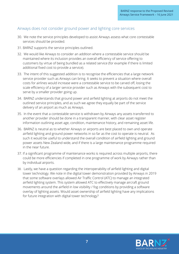#### Airways does not consider ground power and lighting core services

- 30. We note the service principles developed to assist Airways assess what core contestable services should be provided.
- 31. BARNZ supports the service principles outlined.
- 32. We would like Airways to consider an addition where a contestable service should be maintained where its inclusion provides an overall efficiency of service offering to customers by virtue of being bundled as a related service (for example if there is limited additional fixed cost to provide a service).
- 33. The intent of this suggested addition is to recognise the efficiencies that a large network service provider such as Airways can bring. It seeks to prevent a situation where overall costs for airlines would increase were a contestable service to be carved off, losing the scale efficiency of a larger service provider such as Airways with the subsequent cost to serve by a smaller provider going up.
- 34. BARNZ understands that ground power and airfield lighting at airports do not meet the outlined service principles, and as such we agree they equally be part of the service delivery of an airport as much as Airways.
- 35. In the event that a contestable service is withdrawn by Airways any assets transferred to another provider should be done in a transparent manner, with clear asset register information outlining asset age, condition, maintenance history, and remaining asset life.
- 36. BARNZ is neutral as to whether Airways or airports are best placed to own and operate airfield lighting and ground power networks in so far as the cost to operate is neutral. As such it would be useful to understand the overall condition of airfield lighting and ground power assets New Zealand wide, and if there is a large maintenance programme required in the near future.
- 37. If a significant programme of maintenance works is required across multiple airports, there could be more efficiencies if completed in one programme of work by Airways rather than by individual airports.
- 38. Lastly, we have a question regarding the interoperability of airfield lighting and digital tower technology. We note in the digital tower demonstration provided by Airways in 2019 that some software overlays allowed Air Traffic Control (ATC) to manage an integrated airfield lighting system. This system allowed ATC to effectively manage aircraft ground movements around the airfield in low visibility / fog conditions by providing a software overlay of lighting assets. Would asset ownership of airfield lighting have any implications for future integration with digital tower technology?

![](_page_6_Picture_11.jpeg)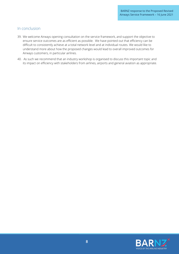#### In conclusion

- 39. We welcome Airways opening consultation on the service framework, and support the objective to ensure service outcomes are as efficient as possible. We have pointed out that efficiency can be difficult to consistently achieve at a total network level and at individual routes. We would like to understand more about how the proposed changes would lead to overall improved outcomes for Airways customers, in particular airlines.
- 40. As such we recommend that an industry workshop is organised to discuss this important topic and its impact on efficiency with stakeholders from airlines, airports and general aviation as appropriate.

![](_page_7_Picture_4.jpeg)